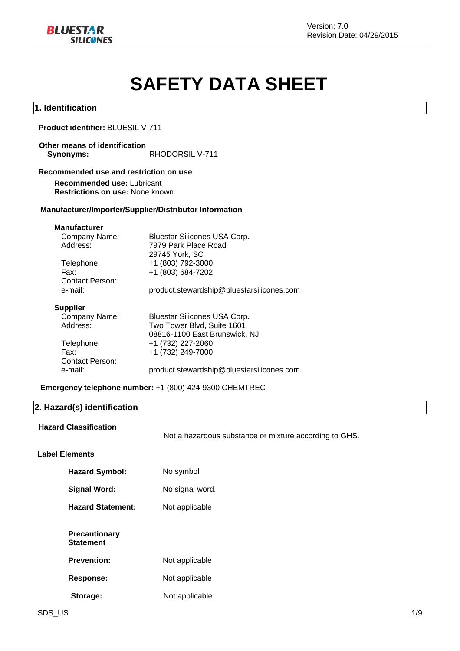

# **SAFETY DATA SHEET**

### **1. Identification**

### **Product identifier:** BLUESIL V-711

### **Other means of identification**

Synonyms: RHODORSIL V-711

### **Recommended use and restriction on use**

**Recommended use:** Lubricant **Restrictions on use:** None known.

### **Manufacturer/Importer/Supplier/Distributor Information**

### **Manufacturer**

| Company Name:          | Bluestar Silicones USA Corp.              |
|------------------------|-------------------------------------------|
| Address:               | 7979 Park Place Road                      |
|                        | 29745 York, SC                            |
| Telephone:             | +1 (803) 792-3000                         |
| Fax:                   | +1 (803) 684-7202                         |
| <b>Contact Person:</b> |                                           |
| e-mail:                | product.stewardship@bluestarsilicones.com |
|                        |                                           |
|                        |                                           |

#### **Supplier**

| Company Name:   | <b>Bluestar Silicones USA Corp.</b>       |
|-----------------|-------------------------------------------|
| Address:        | Two Tower Blvd, Suite 1601                |
|                 | 08816-1100 East Brunswick, NJ             |
| Telephone:      | +1 (732) 227-2060                         |
| Fax:            | +1 (732) 249-7000                         |
| Contact Person: |                                           |
| e-mail:         | product.stewardship@bluestarsilicones.com |

### **Emergency telephone number:** +1 (800) 424-9300 CHEMTREC

### **2. Hazard(s) identification**

|                       | <b>Hazard Classification</b>             | Not a hazardous substance or mixture according to GHS. |  |
|-----------------------|------------------------------------------|--------------------------------------------------------|--|
| <b>Label Elements</b> |                                          |                                                        |  |
|                       | <b>Hazard Symbol:</b>                    | No symbol                                              |  |
|                       | <b>Signal Word:</b>                      | No signal word.                                        |  |
|                       | <b>Hazard Statement:</b>                 | Not applicable                                         |  |
|                       | <b>Precautionary</b><br><b>Statement</b> |                                                        |  |
|                       | <b>Prevention:</b>                       | Not applicable                                         |  |
|                       | <b>Response:</b>                         | Not applicable                                         |  |
|                       | Storage:                                 | Not applicable                                         |  |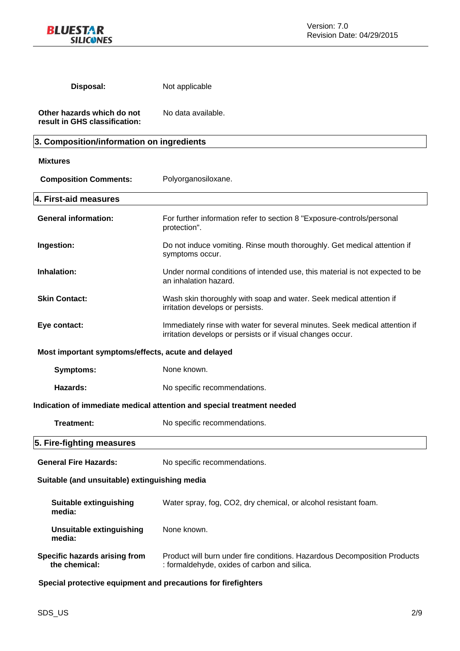

| Disposal:                                                   | Not applicable                                                                                                                             |  |
|-------------------------------------------------------------|--------------------------------------------------------------------------------------------------------------------------------------------|--|
| Other hazards which do not<br>result in GHS classification: | No data available.                                                                                                                         |  |
| 3. Composition/information on ingredients                   |                                                                                                                                            |  |
| <b>Mixtures</b>                                             |                                                                                                                                            |  |
| <b>Composition Comments:</b>                                | Polyorganosiloxane.                                                                                                                        |  |
| 4. First-aid measures                                       |                                                                                                                                            |  |
| <b>General information:</b>                                 | For further information refer to section 8 "Exposure-controls/personal<br>protection".                                                     |  |
| Ingestion:                                                  | Do not induce vomiting. Rinse mouth thoroughly. Get medical attention if<br>symptoms occur.                                                |  |
| Inhalation:                                                 | Under normal conditions of intended use, this material is not expected to be<br>an inhalation hazard.                                      |  |
| <b>Skin Contact:</b>                                        | Wash skin thoroughly with soap and water. Seek medical attention if<br>irritation develops or persists.                                    |  |
| Eye contact:                                                | Immediately rinse with water for several minutes. Seek medical attention if<br>irritation develops or persists or if visual changes occur. |  |
| Most important symptoms/effects, acute and delayed          |                                                                                                                                            |  |
| <b>Symptoms:</b>                                            | None known.                                                                                                                                |  |
| Hazards:                                                    | No specific recommendations.                                                                                                               |  |
|                                                             | Indication of immediate medical attention and special treatment needed                                                                     |  |
| Treatment:                                                  | No specific recommendations.                                                                                                               |  |
| 5. Fire-fighting measures                                   |                                                                                                                                            |  |
| <b>General Fire Hazards:</b>                                | No specific recommendations.                                                                                                               |  |
| Suitable (and unsuitable) extinguishing media               |                                                                                                                                            |  |
| Suitable extinguishing<br>media:                            | Water spray, fog, CO2, dry chemical, or alcohol resistant foam.                                                                            |  |
| <b>Unsuitable extinguishing</b><br>media:                   | None known.                                                                                                                                |  |
| Specific hazards arising from<br>the chemical:              | Product will burn under fire conditions. Hazardous Decomposition Products<br>: formaldehyde, oxides of carbon and silica.                  |  |

**Special protective equipment and precautions for firefighters**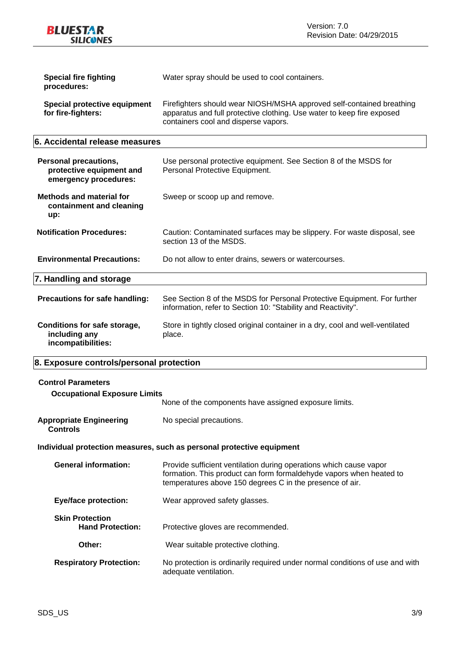**BLUESTAR SILICONES** 

| Special fire fighting<br>procedures:               | Water spray should be used to cool containers.                                                                                                                                          |
|----------------------------------------------------|-----------------------------------------------------------------------------------------------------------------------------------------------------------------------------------------|
| Special protective equipment<br>for fire-fighters: | Firefighters should wear NIOSH/MSHA approved self-contained breathing<br>apparatus and full protective clothing. Use water to keep fire exposed<br>containers cool and disperse vapors. |

### **6. Accidental release measures**

| <b>Personal precautions,</b><br>protective equipment and<br>emergency procedures: | Use personal protective equipment. See Section 8 of the MSDS for<br>Personal Protective Equipment.                                        |
|-----------------------------------------------------------------------------------|-------------------------------------------------------------------------------------------------------------------------------------------|
| <b>Methods and material for</b><br>containment and cleaning<br>up:                | Sweep or scoop up and remove.                                                                                                             |
| <b>Notification Procedures:</b>                                                   | Caution: Contaminated surfaces may be slippery. For waste disposal, see<br>section 13 of the MSDS.                                        |
| <b>Environmental Precautions:</b>                                                 | Do not allow to enter drains, sewers or watercourses.                                                                                     |
| 7. Handling and storage                                                           |                                                                                                                                           |
| <b>Precautions for safe handling:</b>                                             | See Section 8 of the MSDS for Personal Protective Equipment. For further<br>information, refer to Section 10: "Stability and Reactivity". |
| Conditions for safe storage,<br>including any<br>incompatibilities:               | Store in tightly closed original container in a dry, cool and well-ventilated<br>place.                                                   |

### **8. Exposure controls/personal protection**

| <b>Control Parameters</b><br><b>Occupational Exposure Limits</b> | None of the components have assigned exposure limits.                                                                                                                                                 |
|------------------------------------------------------------------|-------------------------------------------------------------------------------------------------------------------------------------------------------------------------------------------------------|
| <b>Appropriate Engineering</b><br><b>Controls</b>                | No special precautions.                                                                                                                                                                               |
|                                                                  | Individual protection measures, such as personal protective equipment                                                                                                                                 |
| <b>General information:</b>                                      | Provide sufficient ventilation during operations which cause vapor<br>formation. This product can form formaldehyde vapors when heated to<br>temperatures above 150 degrees C in the presence of air. |
| Eye/face protection:                                             | Wear approved safety glasses.                                                                                                                                                                         |

**Skin Protection<br>
Hand Protection:** Protective gloves are recommended. **Other:** Wear suitable protective clothing. **Respiratory Protection:** No protection is ordinarily required under normal conditions of use and with

adequate ventilation.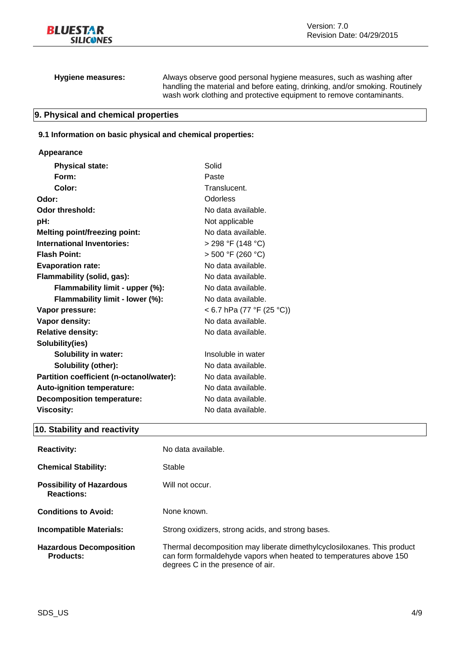|  | <b>Hygiene measures:</b> |
|--|--------------------------|
|--|--------------------------|

**Hygiene measures:** Always observe good personal hygiene measures, such as washing after handling the material and before eating, drinking, and/or smoking. Routinely wash work clothing and protective equipment to remove contaminants.

### **9. Physical and chemical properties**

### **9.1 Information on basic physical and chemical properties:**

### **Appearance**

| <b>Physical state:</b>                   | Solid                     |
|------------------------------------------|---------------------------|
| Form:                                    | Paste                     |
| Color:                                   | Translucent.              |
| Odor:                                    | Odorless                  |
| Odor threshold:                          | No data available.        |
| pH:                                      | Not applicable            |
| <b>Melting point/freezing point:</b>     | No data available.        |
| <b>International Inventories:</b>        | > 298 °F (148 °C)         |
| <b>Flash Point:</b>                      | > 500 °F (260 °C)         |
| <b>Evaporation rate:</b>                 | No data available.        |
| Flammability (solid, gas):               | No data available.        |
| Flammability limit - upper (%):          | No data available.        |
| Flammability limit - lower (%):          | No data available.        |
| Vapor pressure:                          | < 6.7 hPa (77 °F (25 °C)) |
| Vapor density:                           | No data available.        |
| <b>Relative density:</b>                 | No data available.        |
| Solubility(ies)                          |                           |
| <b>Solubility in water:</b>              | Insoluble in water        |
| <b>Solubility (other):</b>               | No data available.        |
| Partition coefficient (n-octanol/water): | No data available.        |
| Auto-ignition temperature:               | No data available.        |
| <b>Decomposition temperature:</b>        | No data available.        |
| <b>Viscosity:</b>                        | No data available.        |

### **10. Stability and reactivity**

| <b>Reactivity:</b>                                   | No data available.                                                                                                                                                                 |
|------------------------------------------------------|------------------------------------------------------------------------------------------------------------------------------------------------------------------------------------|
| <b>Chemical Stability:</b>                           | Stable                                                                                                                                                                             |
| <b>Possibility of Hazardous</b><br><b>Reactions:</b> | Will not occur.                                                                                                                                                                    |
| <b>Conditions to Avoid:</b>                          | None known.                                                                                                                                                                        |
| <b>Incompatible Materials:</b>                       | Strong oxidizers, strong acids, and strong bases.                                                                                                                                  |
| <b>Hazardous Decomposition</b><br><b>Products:</b>   | Thermal decomposition may liberate dimethylcyclosiloxanes. This product<br>can form formaldehyde vapors when heated to temperatures above 150<br>degrees C in the presence of air. |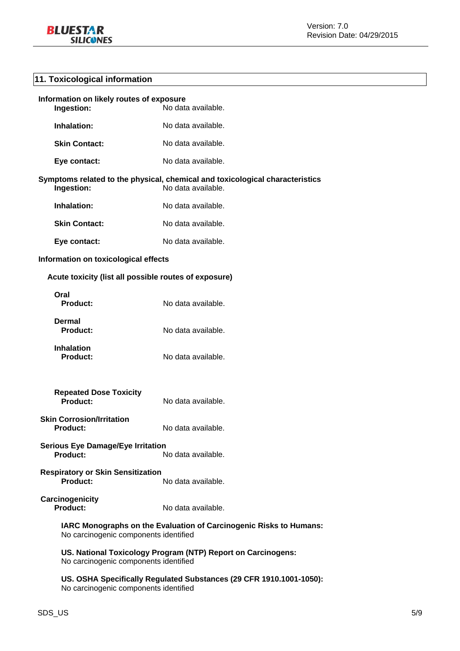### **11. Toxicological information**

| Information on likely routes of exposure<br>Ingestion:<br>No data available.                                     |                    |  |
|------------------------------------------------------------------------------------------------------------------|--------------------|--|
| Inhalation:                                                                                                      | No data available. |  |
| <b>Skin Contact:</b>                                                                                             | No data available. |  |
| Eye contact:                                                                                                     | No data available. |  |
| Symptoms related to the physical, chemical and toxicological characteristics<br>No data available.<br>Ingestion: |                    |  |
| Inhalation:                                                                                                      | No data available. |  |
| <b>Skin Contact:</b>                                                                                             | No data available. |  |
| Eye contact:                                                                                                     | No data available. |  |
| Information on toxicological effects                                                                             |                    |  |
| Acute toxicity (list all possible routes of exposure)                                                            |                    |  |
| Oral<br><b>Product:</b>                                                                                          | No data available. |  |
| Dermal<br><b>Product:</b>                                                                                        | No data available. |  |
| <b>Inhalation</b><br><b>Product:</b>                                                                             | No data available. |  |
| <b>Repeated Dose Toxicity</b><br><b>Product:</b><br>No data available.                                           |                    |  |
| <b>Skin Corrosion/Irritation</b><br>Product:<br>No data available.                                               |                    |  |
| <b>Serious Eye Damage/Eye Irritation</b><br>Product:<br>No data available.                                       |                    |  |
| <b>Respiratory or Skin Sensitization</b><br><b>Product:</b><br>No data available.                                |                    |  |
| Carcinogenicity<br><b>Product:</b><br>No data available.                                                         |                    |  |
| IARC Monographs on the Evaluation of Carcinogenic Risks to Humans:<br>No carcinogenic components identified      |                    |  |
| US. National Toxicology Program (NTP) Report on Carcinogens:<br>No carcinogenic components identified            |                    |  |
| US. OSHA Specifically Regulated Substances (29 CFR 1910.1001-1050):                                              |                    |  |

No carcinogenic components identified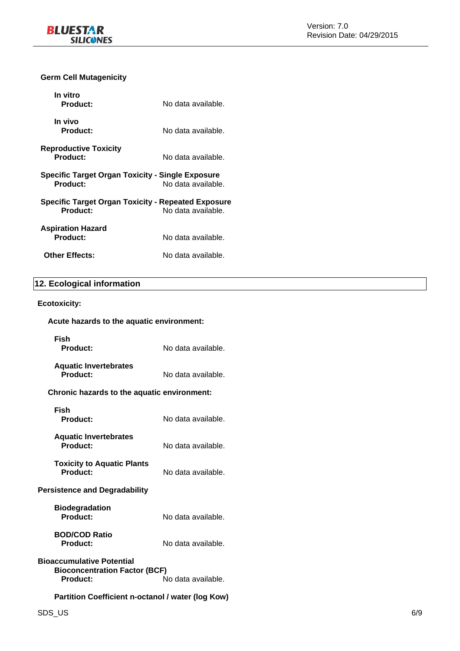### **Germ Cell Mutagenicity**

| In vitro<br><b>Product:</b>                                           | No data available. |
|-----------------------------------------------------------------------|--------------------|
| In vivo<br><b>Product:</b>                                            | No data available. |
| <b>Reproductive Toxicity</b><br>Product:                              | No data available. |
| <b>Specific Target Organ Toxicity - Single Exposure</b><br>Product:   | No data available. |
| <b>Specific Target Organ Toxicity - Repeated Exposure</b><br>Product: | No data available. |
| <b>Aspiration Hazard</b><br>Product:                                  | No data available. |
| <b>Other Effects:</b>                                                 | No data available. |

### **12. Ecological information**

### **Ecotoxicity:**

## **Acute hazards to the aquatic environment:**

**Fish**  No data available. **Aquatic Invertebrates**  No data available. **Chronic hazards to the aquatic environment:** 

| Fish<br><b>Product:</b>                                                                                    | No data available. |  |
|------------------------------------------------------------------------------------------------------------|--------------------|--|
| <b>Aquatic Invertebrates</b><br>Product:                                                                   | No data available. |  |
| <b>Toxicity to Aquatic Plants</b><br>Product:                                                              | No data available. |  |
| Persistence and Degradability                                                                              |                    |  |
| <b>Biodegradation</b><br>Product:                                                                          | No data available. |  |
| <b>BOD/COD Ratio</b><br><b>Product:</b>                                                                    | No data available. |  |
| Bioaccumulative Potential<br><b>Bioconcentration Factor (BCF)</b><br>No data available.<br><b>Product:</b> |                    |  |
| Partition Coefficient n-octanol / water (log Kow)                                                          |                    |  |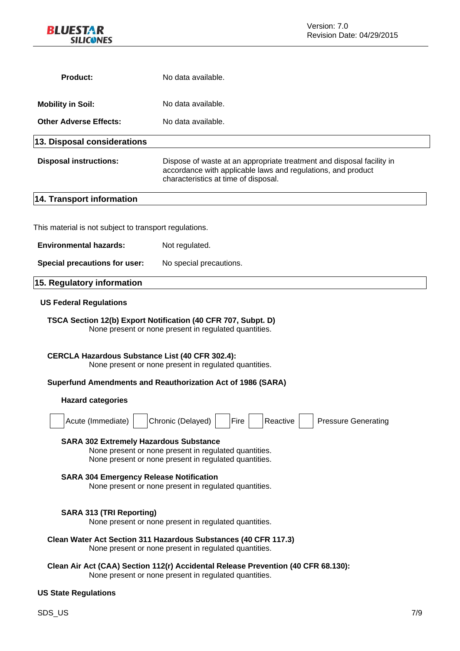

| <b>Product:</b>                                                                                                                                                                                                                                                            | No data available.                                                                                                                                                            |  |
|----------------------------------------------------------------------------------------------------------------------------------------------------------------------------------------------------------------------------------------------------------------------------|-------------------------------------------------------------------------------------------------------------------------------------------------------------------------------|--|
| <b>Mobility in Soil:</b>                                                                                                                                                                                                                                                   | No data available.                                                                                                                                                            |  |
| <b>Other Adverse Effects:</b>                                                                                                                                                                                                                                              | No data available.                                                                                                                                                            |  |
| 13. Disposal considerations                                                                                                                                                                                                                                                |                                                                                                                                                                               |  |
| <b>Disposal instructions:</b>                                                                                                                                                                                                                                              | Dispose of waste at an appropriate treatment and disposal facility in<br>accordance with applicable laws and regulations, and product<br>characteristics at time of disposal. |  |
| 14. Transport information                                                                                                                                                                                                                                                  |                                                                                                                                                                               |  |
|                                                                                                                                                                                                                                                                            |                                                                                                                                                                               |  |
| This material is not subject to transport regulations.                                                                                                                                                                                                                     |                                                                                                                                                                               |  |
| <b>Environmental hazards:</b>                                                                                                                                                                                                                                              | Not regulated.                                                                                                                                                                |  |
| Special precautions for user:                                                                                                                                                                                                                                              | No special precautions.                                                                                                                                                       |  |
| 15. Regulatory information                                                                                                                                                                                                                                                 |                                                                                                                                                                               |  |
| <b>US Federal Regulations</b>                                                                                                                                                                                                                                              |                                                                                                                                                                               |  |
| TSCA Section 12(b) Export Notification (40 CFR 707, Subpt. D)<br>None present or none present in regulated quantities.                                                                                                                                                     |                                                                                                                                                                               |  |
| <b>CERCLA Hazardous Substance List (40 CFR 302.4):</b><br>None present or none present in regulated quantities.                                                                                                                                                            |                                                                                                                                                                               |  |
|                                                                                                                                                                                                                                                                            | Superfund Amendments and Reauthorization Act of 1986 (SARA)                                                                                                                   |  |
| <b>Hazard categories</b>                                                                                                                                                                                                                                                   |                                                                                                                                                                               |  |
| Acute (Immediate)                                                                                                                                                                                                                                                          | Chronic (Delayed)<br><b>Pressure Generating</b><br>Fire<br>Reactive                                                                                                           |  |
| <b>SARA 302 Extremely Hazardous Substance</b><br>None present or none present in regulated quantities.<br>None present or none present in regulated quantities.<br><b>SARA 304 Emergency Release Notification</b><br>None present or none present in regulated quantities. |                                                                                                                                                                               |  |
| <b>SARA 313 (TRI Reporting)</b>                                                                                                                                                                                                                                            | None present or none present in regulated quantities.                                                                                                                         |  |
|                                                                                                                                                                                                                                                                            | Clean Water Act Section 311 Hazardous Substances (40 CFR 117.3)<br>None present or none present in regulated quantities.                                                      |  |
|                                                                                                                                                                                                                                                                            | Clean Air Act (CAA) Section 112(r) Accidental Release Prevention (40 CFR 68.130):<br>None present or none present in regulated quantities.                                    |  |

### **US State Regulations**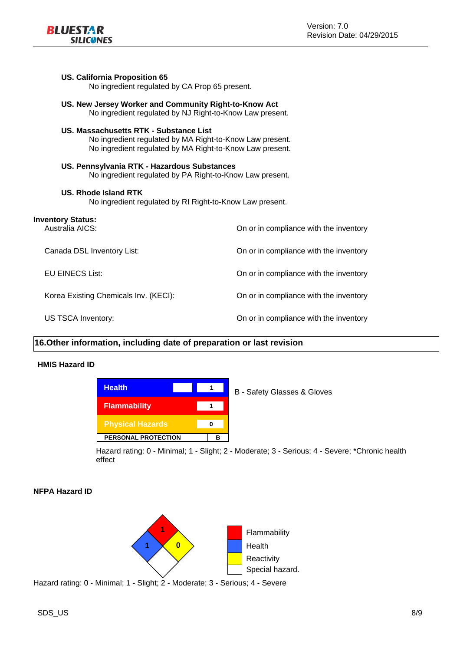

#### **US. California Proposition 65**

No ingredient regulated by CA Prop 65 present.

**US. New Jersey Worker and Community Right-to-Know Act**  No ingredient regulated by NJ Right-to-Know Law present.

#### **US. Massachusetts RTK - Substance List**

No ingredient regulated by MA Right-to-Know Law present. No ingredient regulated by MA Right-to-Know Law present.

### **US. Pennsylvania RTK - Hazardous Substances**

No ingredient regulated by PA Right-to-Know Law present.

#### **US. Rhode Island RTK**

No ingredient regulated by RI Right-to-Know Law present.

| <b>Inventory Status:</b><br>Australia AICS: | On or in compliance with the inventory |
|---------------------------------------------|----------------------------------------|
| Canada DSL Inventory List:                  | On or in compliance with the inventory |
| EU EINECS List:                             | On or in compliance with the inventory |
| Korea Existing Chemicals Inv. (KECI):       | On or in compliance with the inventory |
| US TSCA Inventory:                          | On or in compliance with the inventory |

### **16.Other information, including date of preparation or last revision**

### **HMIS Hazard ID**



B - Safety Glasses & Gloves

Hazard rating: 0 - Minimal; 1 - Slight; 2 - Moderate; 3 - Serious; 4 - Severe; \*Chronic health effect

### **NFPA Hazard ID**



Hazard rating: 0 - Minimal; 1 - Slight; 2 - Moderate; 3 - Serious; 4 - Severe